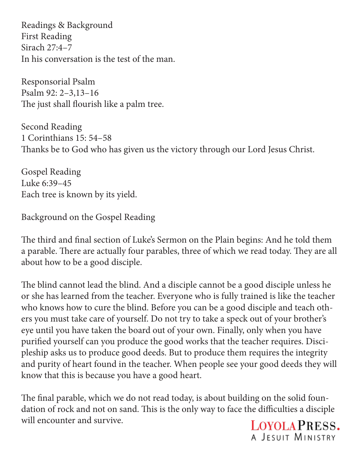Readings & Background First Reading Sirach 27:4–7 In his conversation is the test of the man.

Responsorial Psalm Psalm 92: 2–3,13–16 The just shall flourish like a palm tree.

Second Reading 1 Corinthians 15: 54–58 Thanks be to God who has given us the victory through our Lord Jesus Christ.

Gospel Reading Luke 6:39–45 Each tree is known by its yield.

Background on the Gospel Reading

The third and final section of Luke's Sermon on the Plain begins: And he told them a parable. There are actually four parables, three of which we read today. They are all about how to be a good disciple.

The blind cannot lead the blind. And a disciple cannot be a good disciple unless he or she has learned from the teacher. Everyone who is fully trained is like the teacher who knows how to cure the blind. Before you can be a good disciple and teach others you must take care of yourself. Do not try to take a speck out of your brother's eye until you have taken the board out of your own. Finally, only when you have purified yourself can you produce the good works that the teacher requires. Discipleship asks us to produce good deeds. But to produce them requires the integrity and purity of heart found in the teacher. When people see your good deeds they will know that this is because you have a good heart.

The final parable, which we do not read today, is about building on the solid foundation of rock and not on sand. This is the only way to face the difficulties a disciple will encounter and survive.

LOYOLA PRESS. A JESUIT MINISTRY